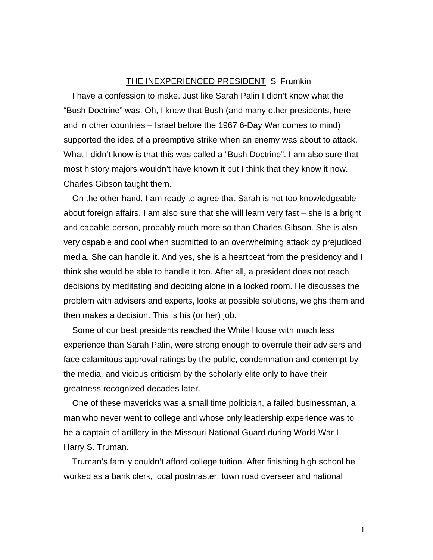## THE INEXPERIENCED PRESIDENT Si Frumkin

I have a confession to make. Just like Sarah Palin I didn't know what the "Bush Doctrine" was. Oh, I knew that Bush (and many other presidents, here and in other countries – Israel before the 1967 6-Day War comes to mind) supported the idea of a preemptive strike when an enemy was about to attack. What I didn't know is that this was called a "Bush Doctrine". I am also sure that most history majors wouldn't have known it but I think that they know it now. Charles Gibson taught them.

On the other hand, I am ready to agree that Sarah is not too knowledgeable about foreign affairs. I am also sure that she will learn very fast – she is a bright and capable person, probably much more so than Charles Gibson. She is also very capable and cool when submitted to an overwhelming attack by prejudiced media. She can handle it. And yes, she is a heartbeat from the presidency and I think she would be able to handle it too. After all, a president does not reach decisions by meditating and deciding alone in a locked room. He discusses the problem with advisers and experts, looks at possible solutions, weighs them and then makes a decision. This is his (or her) job.

Some of our best presidents reached the White House with much less experience than Sarah Palin, were strong enough to overrule their advisers and face calamitous approval ratings by the public, condemnation and contempt by the media, and vicious criticism by the scholarly elite only to have their greatness recognized decades later.

One of these mavericks was a small time politician, a failed businessman, a man who never went to college and whose only leadership experience was to be a captain of artillery in the Missouri National Guard during World War I – Harry S. Truman.

Truman's family couldn't afford college tuition. After finishing high school he worked as a bank clerk, local postmaster, town road overseer and national

1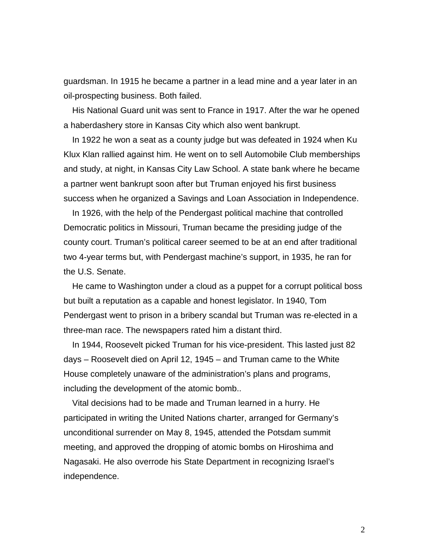guardsman. In 1915 he became a partner in a lead mine and a year later in an oil-prospecting business. Both failed.

His National Guard unit was sent to France in 1917. After the war he opened a haberdashery store in Kansas City which also went bankrupt.

In 1922 he won a seat as a county judge but was defeated in 1924 when Ku Klux Klan rallied against him. He went on to sell Automobile Club memberships and study, at night, in Kansas City Law School. A state bank where he became a partner went bankrupt soon after but Truman enjoyed his first business success when he organized a Savings and Loan Association in Independence.

In 1926, with the help of the Pendergast political machine that controlled Democratic politics in Missouri, Truman became the presiding judge of the county court. Truman's political career seemed to be at an end after traditional two 4-year terms but, with Pendergast machine's support, in 1935, he ran for the U.S. Senate.

He came to Washington under a cloud as a puppet for a corrupt political boss but built a reputation as a capable and honest legislator. In 1940, Tom Pendergast went to prison in a bribery scandal but Truman was re-elected in a three-man race. The newspapers rated him a distant third.

In 1944, Roosevelt picked Truman for his vice-president. This lasted just 82 days – Roosevelt died on April 12, 1945 – and Truman came to the White House completely unaware of the administration's plans and programs, including the development of the atomic bomb..

Vital decisions had to be made and Truman learned in a hurry. He participated in writing the United Nations charter, arranged for Germany's unconditional surrender on May 8, 1945, attended the Potsdam summit meeting, and approved the dropping of atomic bombs on Hiroshima and Nagasaki. He also overrode his State Department in recognizing Israel's independence.